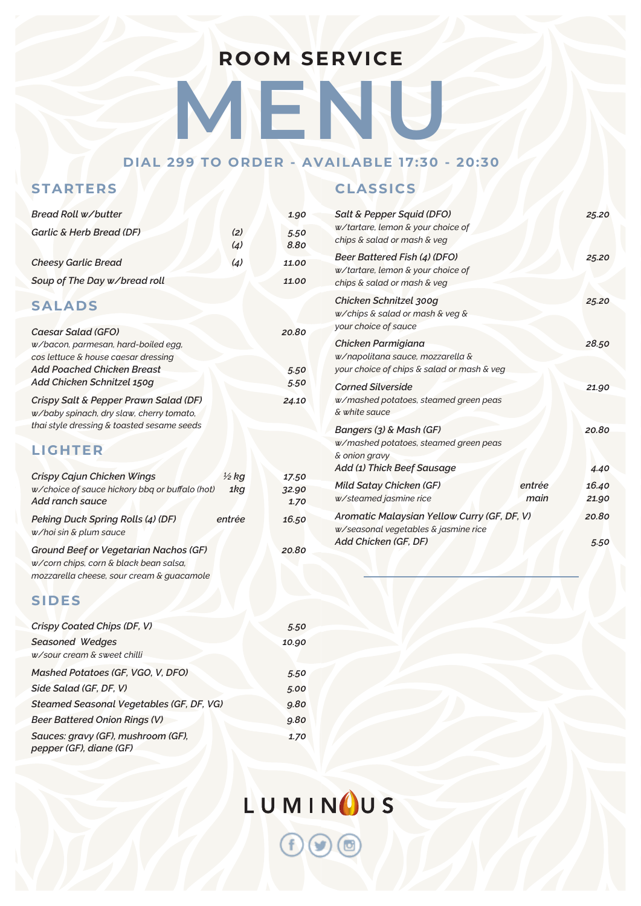## **ROOM SERVICE**

**MEN** 

#### **DIAL 299 TO ORDER - AVAILABLE 17:30 - 20:30**

#### **STARTERS**

|            | 1.90         |
|------------|--------------|
| (2)<br>(4) | 5.50<br>8.80 |
| (4)        | 11.00        |
|            | 11.00        |
|            |              |
|            | 20.80        |
|            | 5.50         |
|            | 5.50         |
|            | 24.10        |
|            |              |

#### **LIGHTER**

| Crispy Cajun Chicken Wings                     | $\frac{1}{2}$ kg | 17.50 |
|------------------------------------------------|------------------|-------|
| w/choice of sauce hickory bbq or buffalo (hot) | 1kg              | 32.90 |
| Add ranch sauce                                |                  | 1.70  |
| Peking Duck Spring Rolls (4) (DF)              | entrée           | 16.50 |
| w/hoi sin & plum sauce                         |                  |       |
| <b>Ground Beef or Vegetarian Nachos (GF)</b>   |                  | 20.80 |
| w/corn chips, corn & black bean salsa,         |                  |       |
| mozzarella cheese, sour cream & quacamole      |                  |       |

#### **SIDES**

| Crispy Coated Chips (DF, V)                                   | 5.50  |
|---------------------------------------------------------------|-------|
| <b>Seasoned Wedges</b><br>w/sour cream & sweet chilli         | 10.90 |
| Mashed Potatoes (GF, VGO, V, DFO)                             | 5.50  |
| Side Salad (GF, DF, V)                                        | 5.00  |
| Steamed Seasonal Vegetables (GF, DF, VG)                      | 9.80  |
| <b>Beer Battered Onion Rings (V)</b>                          | 9.80  |
| Sauces: gravy (GF), mushroom (GF),<br>pepper (GF), diane (GF) | 1.70  |

### **CLASSICS**

| Salt & Pepper Squid (DFO)<br>w/tartare, lemon & your choice of<br>chips & salad or mash & veg                   | 25.20          |
|-----------------------------------------------------------------------------------------------------------------|----------------|
| Beer Battered Fish (4) (DFO)<br>w/tartare, lemon & your choice of<br>chips & salad or mash & veg                | 25.20          |
| Chicken Schnitzel 300g<br>w/chips & salad or mash & veg &<br>your choice of sauce                               | 25.20          |
| Chicken Parmigiana<br>w/napolitana sauce, mozzarella &<br>your choice of chips & salad or mash & veg            | 28.50          |
| <b>Corned Silverside</b><br>w/mashed potatoes, steamed green peas<br>& white sauce                              | 21.90          |
| Bangers (3) & Mash (GF)<br>w/mashed potatoes, steamed green peas<br>& onion gravy<br>Add (1) Thick Beef Sausage | 20.80<br>4.40  |
| <b>Mild Satay Chicken (GF)</b><br>entrée<br>main<br>w/steamed jasmine rice                                      | 16.40<br>21.90 |
| Aromatic Malaysian Yellow Curry (GF, DF, V)<br>w/seasonal vegetables & jasmine rice                             | 20.80          |
| Add Chicken (GF, DF)                                                                                            | 5.50           |

LUMINOUS  $\Theta$   $\Theta$   $\Phi$